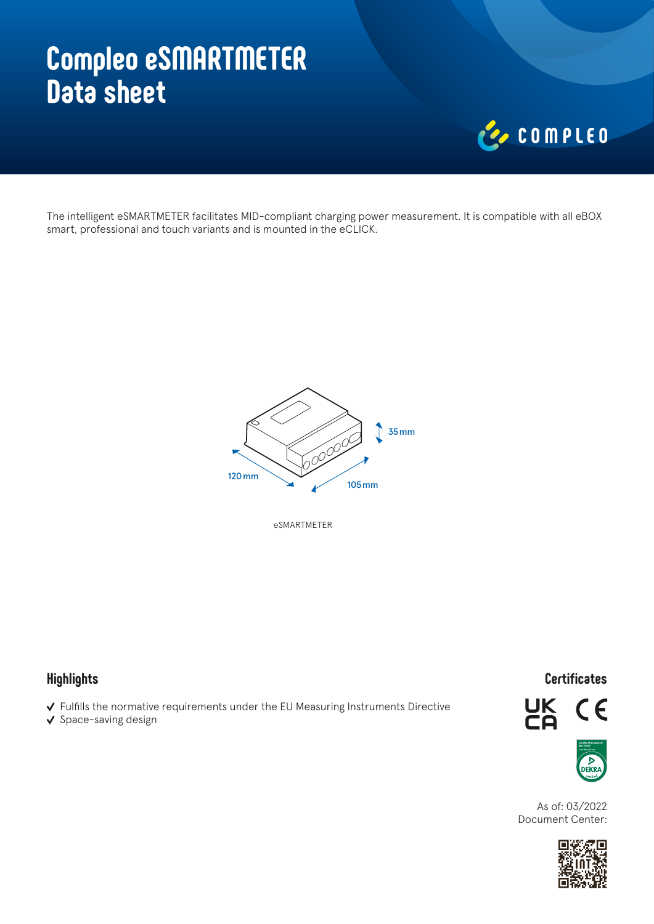# **Compleo eSMARTMETER Data sheet**



The intelligent eSMARTMETER facilitates MID-compliant charging power measurement. It is compatible with all eBOX smart, professional and touch variants and is mounted in the eCLICK.



eSMARTMETER

## **Highlights**

- $\checkmark$  Fulfills the normative requirements under the EU Measuring Instruments Directive
- $\checkmark$  Space-saving design

#### **Certificates**





As of: 03/2022 Document Center: